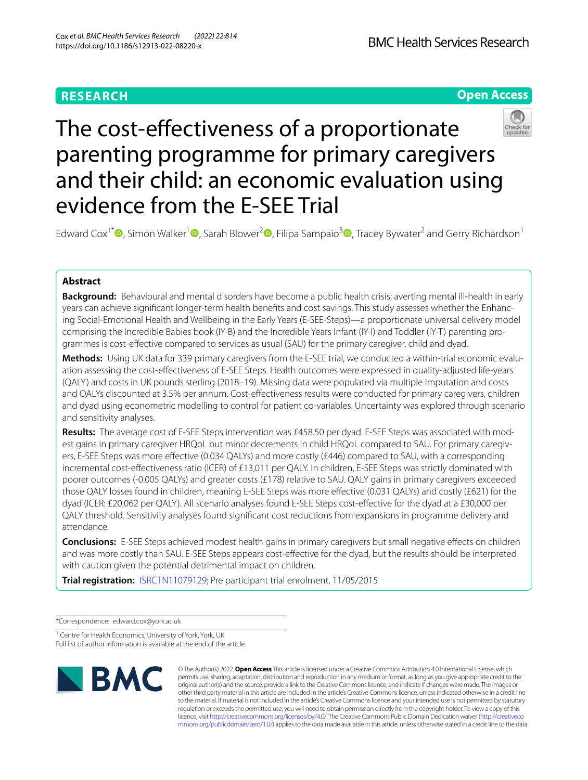# **RESEARCH**

**Open Access**

# The cost-effectiveness of a proportionate parenting programme for primary caregivers and their child: an economic evaluation using evidence from the E-SEE Trial

Edward Cox<sup>1[\\*](http://orcid.org/0000-0001-8981-0699)</sup> , Simon Walker<sup>[1](http://orcid.org/0000-0002-5750-3691)</sup> , Sarah Blower<sup>[2](http://orcid.org/0000-0002-9168-9995)</sup> , Filipa Sampaio<sup>[3](http://orcid.org/0000-0002-5540-9853)</sup> , Tracey Bywater<sup>2</sup> and Gerry Richardson<sup>1</sup>

# **Abstract**

**Background:** Behavioural and mental disorders have become a public health crisis; averting mental ill-health in early years can achieve signifcant longer-term health benefts and cost savings. This study assesses whether the Enhancing Social-Emotional Health and Wellbeing in the Early Years (E-SEE-Steps)—a proportionate universal delivery model comprising the Incredible Babies book (IY-B) and the Incredible Years Infant (IY-I) and Toddler (IY-T) parenting programmes is cost-efective compared to services as usual (SAU) for the primary caregiver, child and dyad.

**Methods:** Using UK data for 339 primary caregivers from the E-SEE trial, we conducted a within-trial economic evaluation assessing the cost-efectiveness of E-SEE Steps. Health outcomes were expressed in quality-adjusted life-years (QALY) and costs in UK pounds sterling (2018–19). Missing data were populated via multiple imputation and costs and QALYs discounted at 3.5% per annum. Cost-effectiveness results were conducted for primary caregivers, children and dyad using econometric modelling to control for patient co-variables. Uncertainty was explored through scenario and sensitivity analyses.

**Results:** The average cost of E-SEE Steps intervention was £458.50 per dyad. E-SEE Steps was associated with modest gains in primary caregiver HRQoL but minor decrements in child HRQoL compared to SAU. For primary caregivers, E-SEE Steps was more efective (0.034 QALYs) and more costly (£446) compared to SAU, with a corresponding incremental cost-efectiveness ratio (ICER) of £13,011 per QALY. In children, E-SEE Steps was strictly dominated with poorer outcomes (-0.005 QALYs) and greater costs (£178) relative to SAU. QALY gains in primary caregivers exceeded those QALY losses found in children, meaning E-SEE Steps was more efective (0.031 QALYs) and costly (£621) for the dyad (ICER: £20,062 per QALY). All scenario analyses found E-SEE Steps cost-efective for the dyad at a £30,000 per QALY threshold. Sensitivity analyses found signifcant cost reductions from expansions in programme delivery and attendance.

**Conclusions:** E-SEE Steps achieved modest health gains in primary caregivers but small negative efects on children and was more costly than SAU. E-SEE Steps appears cost-efective for the dyad, but the results should be interpreted with caution given the potential detrimental impact on children.

**Trial registration:** [ISRCTN11079129;](https://www.isrctn.com/ISRCTN11079129) Pre participant trial enrolment, 11/05/2015

\*Correspondence: edward.cox@york.ac.uk

<sup>1</sup> Centre for Health Economics, University of York, York, UK Full list of author information is available at the end of the article



© The Author(s) 2022. **Open Access** This article is licensed under a Creative Commons Attribution 4.0 International License, which permits use, sharing, adaptation, distribution and reproduction in any medium or format, as long as you give appropriate credit to the original author(s) and the source, provide a link to the Creative Commons licence, and indicate if changes were made. The images or other third party material in this article are included in the article's Creative Commons licence, unless indicated otherwise in a credit line to the material. If material is not included in the article's Creative Commons licence and your intended use is not permitted by statutory regulation or exceeds the permitted use, you will need to obtain permission directly from the copyright holder. To view a copy of this licence, visit [http://creativecommons.org/licenses/by/4.0/.](http://creativecommons.org/licenses/by/4.0/) The Creative Commons Public Domain Dedication waiver ([http://creativeco](http://creativecommons.org/publicdomain/zero/1.0/) [mmons.org/publicdomain/zero/1.0/](http://creativecommons.org/publicdomain/zero/1.0/)) applies to the data made available in this article, unless otherwise stated in a credit line to the data.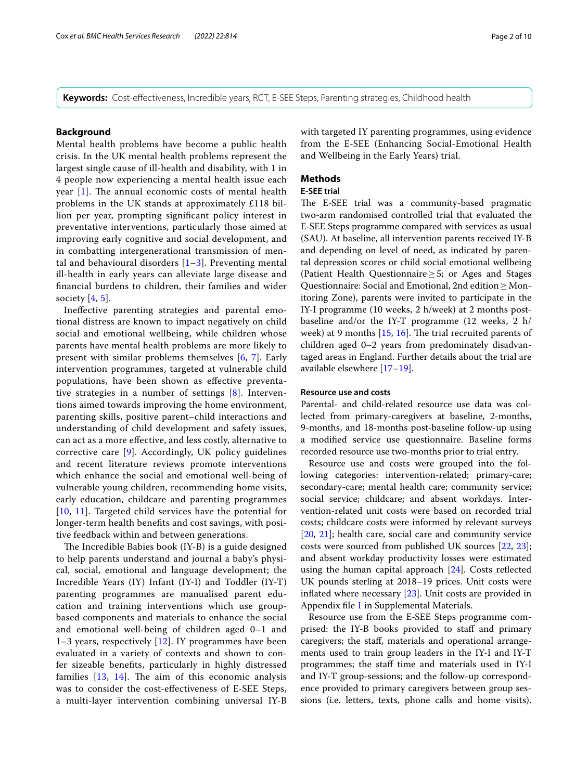**Keywords:** Cost-efectiveness, Incredible years, RCT, E-SEE Steps, Parenting strategies, Childhood health

#### **Background**

Mental health problems have become a public health crisis. In the UK mental health problems represent the largest single cause of ill-health and disability, with 1 in 4 people now experiencing a mental health issue each year  $[1]$  $[1]$ . The annual economic costs of mental health problems in the UK stands at approximately £118 billion per year, prompting signifcant policy interest in preventative interventions, particularly those aimed at improving early cognitive and social development, and in combatting intergenerational transmission of mental and behavioural disorders  $[1-3]$  $[1-3]$ . Preventing mental ill-health in early years can alleviate large disease and fnancial burdens to children, their families and wider society  $[4, 5]$  $[4, 5]$  $[4, 5]$  $[4, 5]$ .

Inefective parenting strategies and parental emotional distress are known to impact negatively on child social and emotional wellbeing, while children whose parents have mental health problems are more likely to present with similar problems themselves [[6,](#page-8-4) [7\]](#page-8-5). Early intervention programmes, targeted at vulnerable child populations, have been shown as efective preventative strategies in a number of settings [[8\]](#page-8-6). Interventions aimed towards improving the home environment, parenting skills, positive parent–child interactions and understanding of child development and safety issues, can act as a more efective, and less costly, alternative to corrective care [\[9](#page-8-7)]. Accordingly, UK policy guidelines and recent literature reviews promote interventions which enhance the social and emotional well-being of vulnerable young children, recommending home visits, early education, childcare and parenting programmes [[10](#page-8-8), [11](#page-8-9)]. Targeted child services have the potential for longer-term health benefts and cost savings, with positive feedback within and between generations.

The Incredible Babies book (IY-B) is a guide designed to help parents understand and journal a baby's physical, social, emotional and language development; the Incredible Years (IY) Infant (IY-I) and Toddler (IY-T) parenting programmes are manualised parent education and training interventions which use groupbased components and materials to enhance the social and emotional well-being of children aged 0–1 and 1–3 years, respectively [[12\]](#page-8-10). IY programmes have been evaluated in a variety of contexts and shown to confer sizeable benefts, particularly in highly distressed families  $[13, 14]$  $[13, 14]$  $[13, 14]$  $[13, 14]$ . The aim of this economic analysis was to consider the cost-efectiveness of E-SEE Steps, a multi-layer intervention combining universal IY-B with targeted IY parenting programmes, using evidence from the E-SEE (Enhancing Social-Emotional Health and Wellbeing in the Early Years) trial.

# **Methods**

# **E‑SEE trial**

The E-SEE trial was a community-based pragmatic two-arm randomised controlled trial that evaluated the E-SEE Steps programme compared with services as usual (SAU). At baseline, all intervention parents received IY-B and depending on level of need, as indicated by parental depression scores or child social emotional wellbeing (Patient Health Questionnaire≥5; or Ages and Stages Questionnaire: Social and Emotional, 2nd edition≥Monitoring Zone), parents were invited to participate in the IY-I programme (10 weeks, 2 h/week) at 2 months postbaseline and/or the IY-T programme (12 weeks, 2 h/ week) at 9 months  $[15, 16]$  $[15, 16]$  $[15, 16]$  $[15, 16]$  $[15, 16]$ . The trial recruited parents of children aged 0–2 years from predominately disadvantaged areas in England. Further details about the trial are available elsewhere [\[17](#page-9-4)–[19\]](#page-9-5).

# **Resource use and costs**

Parental- and child-related resource use data was collected from primary-caregivers at baseline, 2-months, 9-months, and 18-months post-baseline follow-up using a modifed service use questionnaire. Baseline forms recorded resource use two-months prior to trial entry.

Resource use and costs were grouped into the following categories: intervention-related; primary-care; secondary-care; mental health care; community service; social service; childcare; and absent workdays. Intervention-related unit costs were based on recorded trial costs; childcare costs were informed by relevant surveys [[20,](#page-9-6) [21](#page-9-7)]; health care, social care and community service costs were sourced from published UK sources [[22,](#page-9-8) [23](#page-9-9)]; and absent workday productivity losses were estimated using the human capital approach [[24\]](#page-9-10). Costs reflected UK pounds sterling at 2018–19 prices. Unit costs were infated where necessary [\[23](#page-9-9)]. Unit costs are provided in Appendix fle [1](#page-8-11) in Supplemental Materials.

Resource use from the E-SEE Steps programme comprised: the IY-B books provided to staff and primary caregivers; the staf, materials and operational arrangements used to train group leaders in the IY-I and IY-T programmes; the staff time and materials used in IY-I and IY-T group-sessions; and the follow-up correspondence provided to primary caregivers between group sessions (i.e. letters, texts, phone calls and home visits).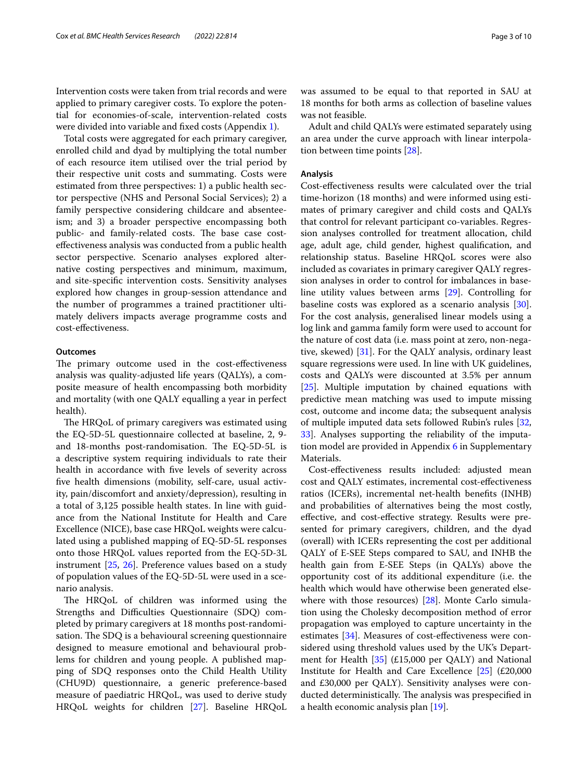Intervention costs were taken from trial records and were applied to primary caregiver costs. To explore the potential for economies-of-scale, intervention-related costs were divided into variable and fxed costs (Appendix [1\)](#page-8-11).

Total costs were aggregated for each primary caregiver, enrolled child and dyad by multiplying the total number of each resource item utilised over the trial period by their respective unit costs and summating. Costs were estimated from three perspectives: 1) a public health sector perspective (NHS and Personal Social Services); 2) a family perspective considering childcare and absenteeism; and 3) a broader perspective encompassing both public- and family-related costs. The base case costefectiveness analysis was conducted from a public health sector perspective. Scenario analyses explored alternative costing perspectives and minimum, maximum, and site-specifc intervention costs. Sensitivity analyses explored how changes in group-session attendance and the number of programmes a trained practitioner ultimately delivers impacts average programme costs and cost-efectiveness.

#### **Outcomes**

The primary outcome used in the cost-effectiveness analysis was quality-adjusted life years (QALYs), a composite measure of health encompassing both morbidity and mortality (with one QALY equalling a year in perfect health).

The HRQoL of primary caregivers was estimated using the EQ-5D-5L questionnaire collected at baseline, 2, 9 and 18-months post-randomisation. The EQ-5D-5L is a descriptive system requiring individuals to rate their health in accordance with fve levels of severity across fve health dimensions (mobility, self-care, usual activity, pain/discomfort and anxiety/depression), resulting in a total of 3,125 possible health states. In line with guidance from the National Institute for Health and Care Excellence (NICE), base case HRQoL weights were calculated using a published mapping of EQ-5D-5L responses onto those HRQoL values reported from the EQ-5D-3L instrument [\[25,](#page-9-11) [26\]](#page-9-12). Preference values based on a study of population values of the EQ-5D-5L were used in a scenario analysis.

The HRQoL of children was informed using the Strengths and Difficulties Questionnaire (SDQ) completed by primary caregivers at 18 months post-randomisation. The SDQ is a behavioural screening questionnaire designed to measure emotional and behavioural problems for children and young people. A published mapping of SDQ responses onto the Child Health Utility (CHU9D) questionnaire, a generic preference-based measure of paediatric HRQoL, was used to derive study HRQoL weights for children [[27\]](#page-9-13). Baseline HRQoL was assumed to be equal to that reported in SAU at 18 months for both arms as collection of baseline values was not feasible.

Adult and child QALYs were estimated separately using an area under the curve approach with linear interpolation between time points [\[28](#page-9-14)].

# **Analysis**

Cost-efectiveness results were calculated over the trial time-horizon (18 months) and were informed using estimates of primary caregiver and child costs and QALYs that control for relevant participant co-variables. Regression analyses controlled for treatment allocation, child age, adult age, child gender, highest qualifcation, and relationship status. Baseline HRQoL scores were also included as covariates in primary caregiver QALY regression analyses in order to control for imbalances in baseline utility values between arms [[29\]](#page-9-15). Controlling for baseline costs was explored as a scenario analysis [\[30](#page-9-16)]. For the cost analysis, generalised linear models using a log link and gamma family form were used to account for the nature of cost data (i.e. mass point at zero, non-negative, skewed) [\[31](#page-9-17)]. For the QALY analysis, ordinary least square regressions were used. In line with UK guidelines, costs and QALYs were discounted at 3.5% per annum [[25\]](#page-9-11). Multiple imputation by chained equations with predictive mean matching was used to impute missing cost, outcome and income data; the subsequent analysis of multiple imputed data sets followed Rubin's rules [[32](#page-9-18), [33\]](#page-9-19). Analyses supporting the reliability of the imputa-tion model are provided in Appendix [6](#page-8-11) in Supplementary Materials.

Cost-efectiveness results included: adjusted mean cost and QALY estimates, incremental cost-efectiveness ratios (ICERs), incremental net-health benefts (INHB) and probabilities of alternatives being the most costly, efective, and cost-efective strategy. Results were presented for primary caregivers, children, and the dyad (overall) with ICERs representing the cost per additional QALY of E-SEE Steps compared to SAU, and INHB the health gain from E-SEE Steps (in QALYs) above the opportunity cost of its additional expenditure (i.e. the health which would have otherwise been generated elsewhere with those resources) [\[28\]](#page-9-14). Monte Carlo simulation using the Cholesky decomposition method of error propagation was employed to capture uncertainty in the estimates [[34](#page-9-20)]. Measures of cost-efectiveness were considered using threshold values used by the UK's Department for Health  $[35]$  $[35]$  (£15,000 per QALY) and National Institute for Health and Care Excellence [\[25\]](#page-9-11) (£20,000 and £30,000 per QALY). Sensitivity analyses were conducted deterministically. The analysis was prespecified in a health economic analysis plan [[19\]](#page-9-5).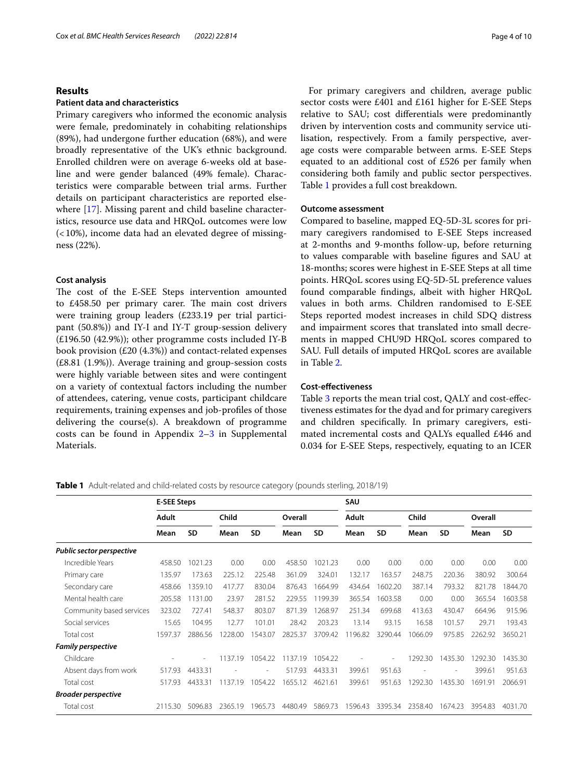#### Cox *et al. BMC Health Services Research (2022) 22:814* Page 4 of 10

# **Results**

# **Patient data and characteristics**

Primary caregivers who informed the economic analysis were female, predominately in cohabiting relationships (89%), had undergone further education (68%), and were broadly representative of the UK's ethnic background. Enrolled children were on average 6-weeks old at baseline and were gender balanced (49% female). Characteristics were comparable between trial arms. Further details on participant characteristics are reported elsewhere [[17\]](#page-9-4). Missing parent and child baseline characteristics, resource use data and HRQoL outcomes were low (<10%), income data had an elevated degree of missingness (22%).

# **Cost analysis**

The cost of the E-SEE Steps intervention amounted to £458.50 per primary carer. The main cost drivers were training group leaders (£233.19 per trial participant (50.8%)) and IY-I and IY-T group-session delivery (£196.50 (42.9%)); other programme costs included IY-B book provision  $(E20 (4.3%)$  and contact-related expenses (£8.81 (1.9%)). Average training and group-session costs were highly variable between sites and were contingent on a variety of contextual factors including the number of attendees, catering, venue costs, participant childcare requirements, training expenses and job-profles of those delivering the course(s). A breakdown of programme costs can be found in Appendix  $2-3$  in Supplemental Materials.

For primary caregivers and children, average public sector costs were £401 and £161 higher for E-SEE Steps relative to SAU; cost diferentials were predominantly driven by intervention costs and community service utilisation, respectively. From a family perspective, average costs were comparable between arms. E-SEE Steps equated to an additional cost of £526 per family when considering both family and public sector perspectives. Table [1](#page-3-0) provides a full cost breakdown.

# **Outcome assessment**

Compared to baseline, mapped EQ-5D-3L scores for primary caregivers randomised to E-SEE Steps increased at 2-months and 9-months follow-up, before returning to values comparable with baseline fgures and SAU at 18-months; scores were highest in E-SEE Steps at all time points. HRQoL scores using EQ-5D-5L preference values found comparable fndings, albeit with higher HRQoL values in both arms. Children randomised to E-SEE Steps reported modest increases in child SDQ distress and impairment scores that translated into small decrements in mapped CHU9D HRQoL scores compared to SAU. Full details of imputed HRQoL scores are available in Table [2.](#page-4-0)

# **Cost‑efectiveness**

Table [3](#page-5-0) reports the mean trial cost, QALY and cost-efectiveness estimates for the dyad and for primary caregivers and children specifcally. In primary caregivers, estimated incremental costs and QALYs equalled £446 and 0.034 for E-SEE Steps, respectively, equating to an ICER

<span id="page-3-0"></span>**Table 1** Adult-related and child-related costs by resource category (pounds sterling, 2018/19)

|                                  | <b>E-SEE Steps</b> |           |         |           |         |           | SAU     |           |         |           |         |           |
|----------------------------------|--------------------|-----------|---------|-----------|---------|-----------|---------|-----------|---------|-----------|---------|-----------|
|                                  | <b>Adult</b>       |           | Child   |           | Overall |           | Adult   |           | Child   |           | Overall |           |
|                                  | Mean               | <b>SD</b> | Mean    | <b>SD</b> | Mean    | <b>SD</b> | Mean    | <b>SD</b> | Mean    | <b>SD</b> | Mean    | <b>SD</b> |
| <b>Public sector perspective</b> |                    |           |         |           |         |           |         |           |         |           |         |           |
| Incredible Years                 | 458.50             | 1021.23   | 0.00    | 0.00      | 458.50  | 1021.23   | 0.00    | 0.00      | 0.00    | 0.00      | 0.00    | 0.00      |
| Primary care                     | 135.97             | 173.63    | 225.12  | 225.48    | 361.09  | 324.01    | 132.17  | 163.57    | 248.75  | 220.36    | 380.92  | 300.64    |
| Secondary care                   | 458.66             | 1359.10   | 417.77  | 830.04    | 876.43  | 1664.99   | 434.64  | 1602.20   | 387.14  | 793.32    | 821.78  | 1844.70   |
| Mental health care               | 205.58             | 1131.00   | 23.97   | 281.52    | 229.55  | 1199.39   | 365.54  | 1603.58   | 0.00    | 0.00      | 365.54  | 1603.58   |
| Community based services         | 323.02             | 727.41    | 548.37  | 803.07    | 871.39  | 1268.97   | 251.34  | 699.68    | 413.63  | 430.47    | 664.96  | 915.96    |
| Social services                  | 15.65              | 104.95    | 12.77   | 101.01    | 28.42   | 203.23    | 13.14   | 93.15     | 16.58   | 101.57    | 29.71   | 193.43    |
| Total cost                       | 1597.37            | 2886.56   | 1228.00 | 1543.07   | 2825.37 | 3709.42   | 196.82  | 3290.44   | 1066.09 | 975.85    | 2262.92 | 3650.21   |
| <b>Family perspective</b>        |                    |           |         |           |         |           |         |           |         |           |         |           |
| Childcare                        |                    |           | 1137.19 | 1054.22   | 1137.19 | 1054.22   |         |           | 1292.30 | 1435.30   | 1292.30 | 1435.30   |
| Absent days from work            | 517.93             | 4433.31   |         |           | 517.93  | 4433.31   | 399.61  | 951.63    |         |           | 399.61  | 951.63    |
| Total cost                       | 517.93             | 4433.31   | 1137.19 | 1054.22   | 1655.12 | 4621.61   | 399.61  | 951.63    | 1292.30 | 1435.30   | 1691.91 | 2066.91   |
| <b>Broader perspective</b>       |                    |           |         |           |         |           |         |           |         |           |         |           |
| Total cost                       | 2115.30            | 5096.83   | 2365.19 | 1965.73   | 4480.49 | 5869.73   | 1596.43 | 3395.34   | 2358.40 | 1674.23   | 3954.83 | 4031.70   |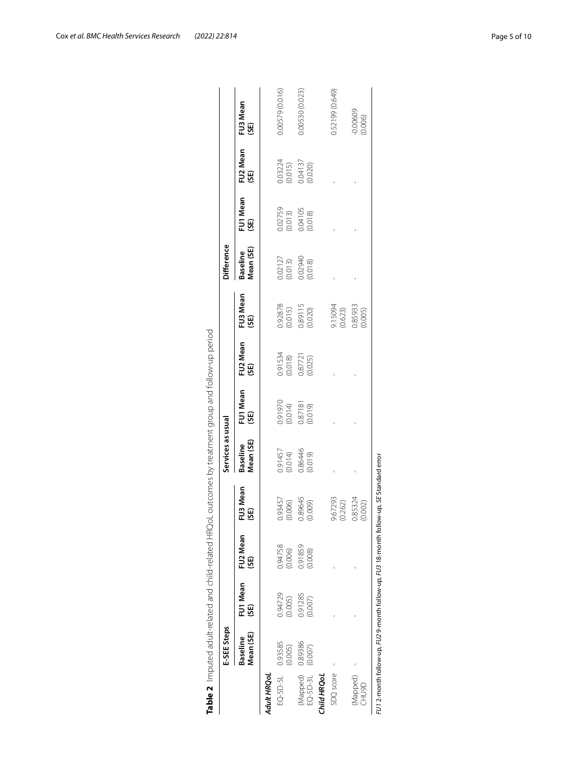<span id="page-4-0"></span>

|                          | E-SEE Steps                  |                    |                                                                                               |                    | Services as usual             |                    |                    |                    | Difference                               |                                          |                                          |                       |
|--------------------------|------------------------------|--------------------|-----------------------------------------------------------------------------------------------|--------------------|-------------------------------|--------------------|--------------------|--------------------|------------------------------------------|------------------------------------------|------------------------------------------|-----------------------|
|                          | Mean (SE)<br><b>Baseline</b> | FU1 Mean<br>(SE)   | FU2 Mean<br>(SE)                                                                              | FU3 Mean<br>(SE)   | Vlean (SE)<br><b>Baseline</b> | FU1 Mean<br>(SE)   | FU2 Mean<br>(SE)   | FU3 Mean<br>(SE)   | Mean (SE)<br><b>Baseline</b>             | FU1 Mean<br>(SE)                         | FU2 Mean<br>(SE)                         | FU3 Mean<br>(SE)      |
| Adult HRQoL              |                              |                    |                                                                                               |                    |                               |                    |                    |                    |                                          |                                          |                                          |                       |
| $EO-5D-5L$               | 0.93585<br>(0.005)           | 0.94729<br>(0.005) | 0.94758<br>(0.006)                                                                            | 0.93457<br>(0.006) | 0.91457<br>(0.014)            | 0.91970<br>(0.014) | 0.91534<br>(0.018) | 0.92878<br>(0.015) |                                          |                                          |                                          | 0.00579 (0.016)       |
| (Mapped)<br>EQ-5D-3L     | 0.89386<br>(0.007)           | 0.91285<br>(0.007) | 0.91859<br>(0.008)                                                                            | 0.89645<br>(0.009) | 0.86446<br>(0.019)            | 0.87181            | 0.87721            | 0.89115<br>(0.020) | 0.02127<br>(0.013)<br>0.02940<br>(0.018) | 0.02759<br>(0.013)<br>0.04105<br>(0.018) | 0.03224<br>(0.015)<br>0.04137<br>(0.020) | 0.00530 (0.023)       |
| Child HRQoL              |                              |                    |                                                                                               |                    |                               |                    |                    |                    |                                          |                                          |                                          |                       |
| SDQ score                |                              |                    |                                                                                               | 9.67293<br>(0.262) |                               |                    |                    | 9.15094<br>(0.623) |                                          |                                          |                                          | 0.52199 (0.649)       |
| (Mapped)<br><b>GGNHC</b> |                              |                    |                                                                                               | 0.85324<br>(0.002) |                               |                    |                    | 0.85933<br>(0.005) |                                          |                                          |                                          | $-0.00609$<br>(0.006) |
|                          |                              |                    | $F$ U1 2-month follow-up, $F$ U2 9-month follow-up, FU3 18-month follow-up, SE Standard error |                    |                               |                    |                    |                    |                                          |                                          |                                          |                       |

Cox *et al. BMC Health Services Research (2022) 22:814* Page 5 of 10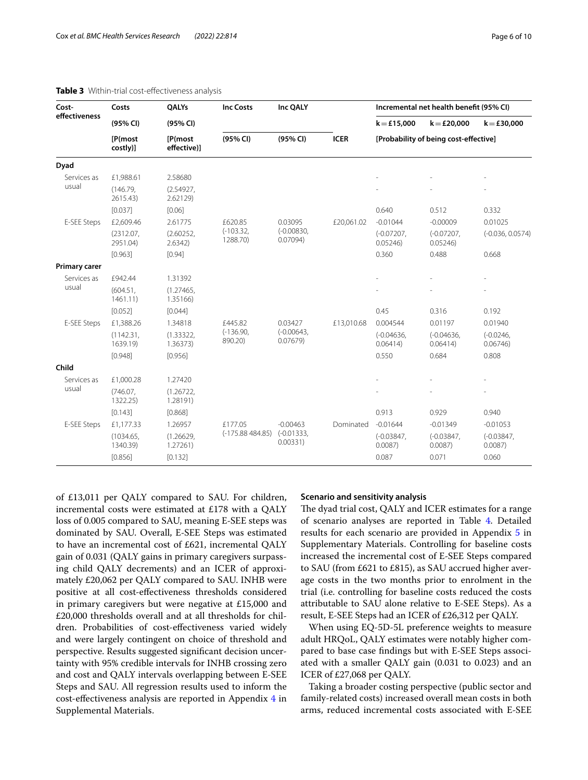| Cost-                | Costs                 | QALYs                  | <b>Inc Costs</b>        | Inc QALY                 |             |                          | Incremental net health benefit (95% CI) |                        |
|----------------------|-----------------------|------------------------|-------------------------|--------------------------|-------------|--------------------------|-----------------------------------------|------------------------|
| effectiveness        | (95% CI)              | (95% CI)               |                         |                          |             | $k = £15,000$            | $k = £20,000$                           | $k = £30,000$          |
|                      | [P(most<br>costly)]   | [P(most<br>effective)] | (95% CI)                | (95% CI)                 | <b>ICER</b> |                          | [Probability of being cost-effective]   |                        |
| Dyad                 |                       |                        |                         |                          |             |                          |                                         |                        |
| Services as          | £1,988.61             | 2.58680                |                         |                          |             |                          |                                         |                        |
| usual                | (146.79,<br>2615.43)  | (2.54927,<br>2.62129)  |                         |                          |             |                          |                                         |                        |
|                      | [0.037]               | [0.06]                 |                         |                          |             | 0.640                    | 0.512                                   | 0.332                  |
| E-SEE Steps          | £2,609.46             | 2.61775                | £620.85                 | 0.03095                  | £20,061.02  | $-0.01044$               | $-0.00009$                              | 0.01025                |
|                      | (2312.07,<br>2951.04) | (2.60252,<br>2.6342    | $(-103.32,$<br>1288.70) | $(-0.00830,$<br>0.07094) |             | $(-0.07207,$<br>0.05246  | $(-0.07207,$<br>0.05246                 | $(-0.036, 0.0574)$     |
|                      | [0.963]               | [0.94]                 |                         |                          |             | 0.360                    | 0.488                                   | 0.668                  |
| <b>Primary carer</b> |                       |                        |                         |                          |             |                          |                                         |                        |
| Services as          | £942.44               | 1.31392                |                         |                          |             |                          |                                         |                        |
| usual                | (604.51,<br>1461.11   | (1.27465,<br>1.35166)  |                         |                          |             |                          |                                         |                        |
|                      | [0.052]               | [0.044]                |                         |                          |             | 0.45                     | 0.316                                   | 0.192                  |
| E-SEE Steps          | £1,388.26             | 1.34818                | £445.82                 | 0.03427                  | £13,010.68  | 0.004544                 | 0.01197                                 | 0.01940                |
|                      | (1142.31,<br>1639.19) | (1.33322,<br>1.36373)  | $(-136.90,$<br>890.20)  | $(-0.00643,$<br>0.07679  |             | $(-0.04636.$<br>0.06414) | $(-0.04636)$<br>0.06414)                | $(-0.0246,$<br>0.06746 |
|                      | [0.948]               | [0.956]                |                         |                          |             | 0.550                    | 0.684                                   | 0.808                  |
| Child                |                       |                        |                         |                          |             |                          |                                         |                        |
| Services as<br>usual | £1,000.28             | 1.27420                |                         |                          |             |                          |                                         |                        |
|                      | (746.07,<br>1322.25)  | (1.26722,<br>1.28191)  |                         |                          |             |                          |                                         |                        |
|                      | [0.143]               | [0.868]                |                         |                          |             | 0.913                    | 0.929                                   | 0.940                  |
| E-SEE Steps          | £1,177.33             | 1.26957                | £177.05                 | $-0.00463$               | Dominated   | $-0.01644$               | $-0.01349$                              | $-0.01053$             |
|                      | (1034.65,<br>1340.39) | (1.26629,<br>1.27261)  | $(-175.88484.85)$       | $(-0.01333,$<br>0.00331) |             | $(-0.03847,$<br>0.0087   | $(-0.03847,$<br>0.0087                  | $(-0.03847,$<br>0.0087 |
|                      | [0.856]               | [0.132]                |                         |                          |             | 0.087                    | 0.071                                   | 0.060                  |

#### <span id="page-5-0"></span>**Table 3** Within-trial cost-efectiveness analysis

of £13,011 per QALY compared to SAU. For children, incremental costs were estimated at £178 with a QALY loss of 0.005 compared to SAU, meaning E-SEE steps was dominated by SAU. Overall, E-SEE Steps was estimated to have an incremental cost of £621, incremental QALY gain of 0.031 (QALY gains in primary caregivers surpassing child QALY decrements) and an ICER of approximately £20,062 per QALY compared to SAU. INHB were positive at all cost-efectiveness thresholds considered in primary caregivers but were negative at £15,000 and £20,000 thresholds overall and at all thresholds for children. Probabilities of cost-efectiveness varied widely and were largely contingent on choice of threshold and perspective. Results suggested signifcant decision uncertainty with 95% credible intervals for INHB crossing zero and cost and QALY intervals overlapping between E-SEE Steps and SAU. All regression results used to inform the cost-efectiveness analysis are reported in Appendix [4](#page-8-11) in Supplemental Materials.

#### **Scenario and sensitivity analysis**

The dyad trial cost, QALY and ICER estimates for a range of scenario analyses are reported in Table [4](#page-6-0). Detailed results for each scenario are provided in Appendix [5](#page-8-11) in Supplementary Materials. Controlling for baseline costs increased the incremental cost of E-SEE Steps compared to SAU (from £621 to £815), as SAU accrued higher average costs in the two months prior to enrolment in the trial (i.e. controlling for baseline costs reduced the costs attributable to SAU alone relative to E-SEE Steps). As a result, E-SEE Steps had an ICER of £26,312 per QALY.

When using EQ-5D-5L preference weights to measure adult HRQoL, QALY estimates were notably higher compared to base case fndings but with E-SEE Steps associated with a smaller QALY gain (0.031 to 0.023) and an ICER of £27,068 per QALY.

Taking a broader costing perspective (public sector and family-related costs) increased overall mean costs in both arms, reduced incremental costs associated with E-SEE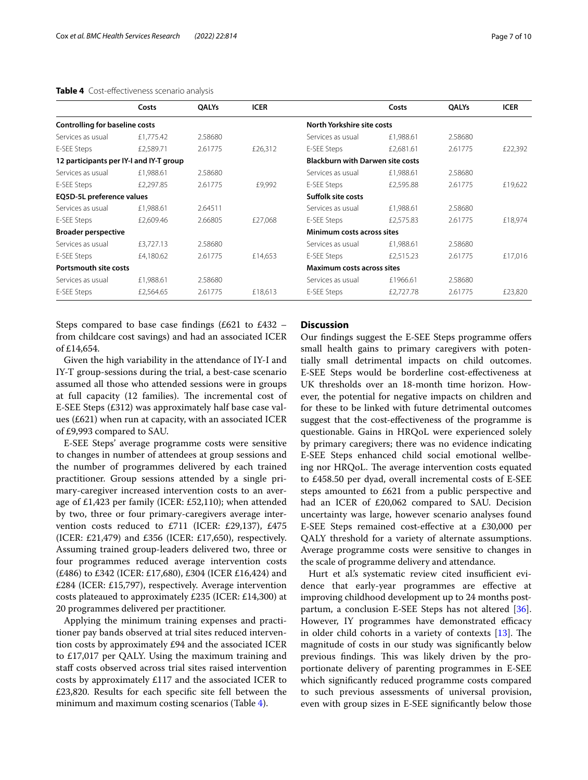## <span id="page-6-0"></span>**Table 4** Cost-efectiveness scenario analysis

|                                         | Costs     | <b>OALYs</b> | <b>ICER</b> |                                         | Costs     | <b>OALYs</b> | <b>ICER</b> |
|-----------------------------------------|-----------|--------------|-------------|-----------------------------------------|-----------|--------------|-------------|
| <b>Controlling for baseline costs</b>   |           |              |             | North Yorkshire site costs              |           |              |             |
| Services as usual                       | £1.775.42 | 2.58680      |             | Services as usual                       | £1,988.61 | 2.58680      |             |
| E-SEE Steps                             | £2,589.71 | 2.61775      | £26,312     | E-SEE Steps                             | £2,681.61 | 2.61775      | £22,392     |
| 12 participants per IY-I and IY-T group |           |              |             | <b>Blackburn with Darwen site costs</b> |           |              |             |
| Services as usual                       | £1,988.61 | 2.58680      |             | Services as usual                       | £1,988.61 | 2.58680      |             |
| E-SEE Steps                             | £2,297.85 | 2.61775      | £9,992      | E-SEE Steps                             | £2,595.88 | 2.61775      | £19,622     |
| EQ5D-5L preference values               |           |              |             | Suffolk site costs                      |           |              |             |
| Services as usual                       | £1,988.61 | 2.64511      |             | Services as usual                       | £1,988.61 | 2.58680      |             |
| E-SEE Steps                             | £2,609.46 | 2.66805      | £27,068     | E-SEE Steps                             | £2,575.83 | 2.61775      | £18,974     |
| <b>Broader perspective</b>              |           |              |             | Minimum costs across sites              |           |              |             |
| Services as usual                       | £3,727.13 | 2.58680      |             | Services as usual                       | £1,988.61 | 2.58680      |             |
| E-SEE Steps                             | £4,180.62 | 2.61775      | £14,653     | E-SEE Steps                             | £2,515.23 | 2.61775      | £17,016     |
| Portsmouth site costs                   |           |              |             | <b>Maximum costs across sites</b>       |           |              |             |
| Services as usual                       | £1,988.61 | 2.58680      |             | Services as usual                       | £1966.61  | 2.58680      |             |
| E-SEE Steps                             | £2,564.65 | 2.61775      | £18,613     | E-SEE Steps                             | £2,727.78 | 2.61775      | £23,820     |
|                                         |           |              |             |                                         |           |              |             |

Steps compared to base case fndings (£621 to £432 – from childcare cost savings) and had an associated ICER of £14,654.

Given the high variability in the attendance of IY-I and IY-T group-sessions during the trial, a best-case scenario assumed all those who attended sessions were in groups at full capacity (12 families). The incremental cost of E-SEE Steps (£312) was approximately half base case values (£621) when run at capacity, with an associated ICER of £9,993 compared to SAU.

E-SEE Steps' average programme costs were sensitive to changes in number of attendees at group sessions and the number of programmes delivered by each trained practitioner. Group sessions attended by a single primary-caregiver increased intervention costs to an average of £1,423 per family (ICER: £52,110); when attended by two, three or four primary-caregivers average intervention costs reduced to £711 (ICER: £29,137), £475 (ICER: £21,479) and £356 (ICER: £17,650), respectively. Assuming trained group-leaders delivered two, three or four programmes reduced average intervention costs (£486) to £342 (ICER: £17,680), £304 (ICER £16,424) and £284 (ICER: £15,797), respectively. Average intervention costs plateaued to approximately £235 (ICER: £14,300) at 20 programmes delivered per practitioner.

Applying the minimum training expenses and practitioner pay bands observed at trial sites reduced intervention costs by approximately £94 and the associated ICER to £17,017 per QALY. Using the maximum training and staff costs observed across trial sites raised intervention costs by approximately £117 and the associated ICER to £23,820. Results for each specifc site fell between the minimum and maximum costing scenarios (Table [4](#page-6-0)).

# **Discussion**

Our fndings suggest the E-SEE Steps programme ofers small health gains to primary caregivers with potentially small detrimental impacts on child outcomes. E-SEE Steps would be borderline cost-efectiveness at UK thresholds over an 18-month time horizon. However, the potential for negative impacts on children and for these to be linked with future detrimental outcomes suggest that the cost-efectiveness of the programme is questionable. Gains in HRQoL were experienced solely by primary caregivers; there was no evidence indicating E-SEE Steps enhanced child social emotional wellbeing nor HRQoL. The average intervention costs equated to £458.50 per dyad, overall incremental costs of E-SEE steps amounted to £621 from a public perspective and had an ICER of £20,062 compared to SAU. Decision uncertainty was large, however scenario analyses found E-SEE Steps remained cost-efective at a £30,000 per QALY threshold for a variety of alternate assumptions. Average programme costs were sensitive to changes in the scale of programme delivery and attendance.

Hurt et al's systematic review cited insufficient evidence that early-year programmes are efective at improving childhood development up to 24 months postpartum, a conclusion E-SEE Steps has not altered [\[36](#page-9-22)]. However, IY programmes have demonstrated efficacy in older child cohorts in a variety of contexts  $[13]$  $[13]$ . The magnitude of costs in our study was signifcantly below previous findings. This was likely driven by the proportionate delivery of parenting programmes in E-SEE which signifcantly reduced programme costs compared to such previous assessments of universal provision, even with group sizes in E-SEE signifcantly below those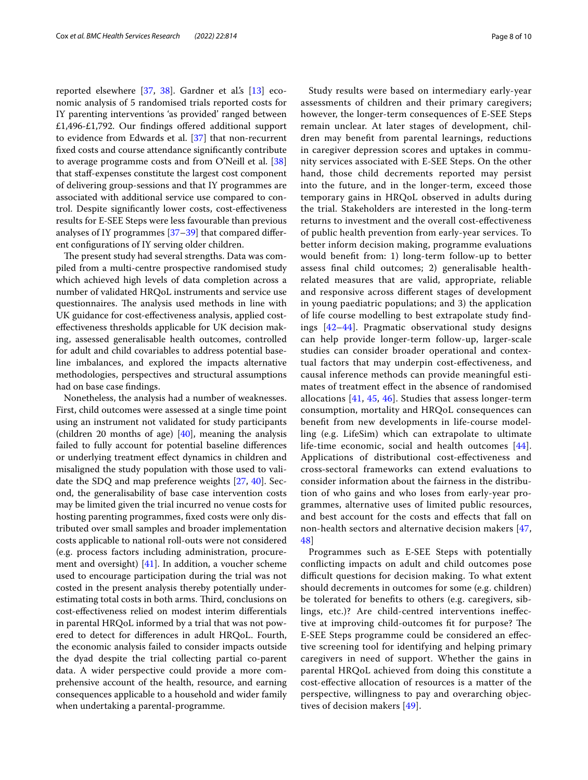reported elsewhere [[37](#page-9-23), [38](#page-9-24)]. Gardner et al.'s [\[13\]](#page-9-0) economic analysis of 5 randomised trials reported costs for IY parenting interventions 'as provided' ranged between £1,496-£1,792. Our fndings ofered additional support to evidence from Edwards et al. [\[37](#page-9-23)] that non-recurrent fxed costs and course attendance signifcantly contribute to average programme costs and from O'Neill et al. [[38](#page-9-24)] that staf-expenses constitute the largest cost component of delivering group-sessions and that IY programmes are associated with additional service use compared to control. Despite signifcantly lower costs, cost-efectiveness results for E-SEE Steps were less favourable than previous analyses of IY programmes [\[37](#page-9-23)[–39](#page-9-25)] that compared diferent confgurations of IY serving older children.

The present study had several strengths. Data was compiled from a multi-centre prospective randomised study which achieved high levels of data completion across a number of validated HRQoL instruments and service use questionnaires. The analysis used methods in line with UK guidance for cost-efectiveness analysis, applied costefectiveness thresholds applicable for UK decision making, assessed generalisable health outcomes, controlled for adult and child covariables to address potential baseline imbalances, and explored the impacts alternative methodologies, perspectives and structural assumptions had on base case fndings.

Nonetheless, the analysis had a number of weaknesses. First, child outcomes were assessed at a single time point using an instrument not validated for study participants (children 20 months of age)  $[40]$  $[40]$ , meaning the analysis failed to fully account for potential baseline diferences or underlying treatment efect dynamics in children and misaligned the study population with those used to validate the SDQ and map preference weights [\[27](#page-9-13), [40](#page-9-26)]. Second, the generalisability of base case intervention costs may be limited given the trial incurred no venue costs for hosting parenting programmes, fxed costs were only distributed over small samples and broader implementation costs applicable to national roll-outs were not considered (e.g. process factors including administration, procurement and oversight) [\[41](#page-9-27)]. In addition, a voucher scheme used to encourage participation during the trial was not costed in the present analysis thereby potentially underestimating total costs in both arms. Third, conclusions on cost-efectiveness relied on modest interim diferentials in parental HRQoL informed by a trial that was not powered to detect for diferences in adult HRQoL. Fourth, the economic analysis failed to consider impacts outside the dyad despite the trial collecting partial co-parent data. A wider perspective could provide a more comprehensive account of the health, resource, and earning consequences applicable to a household and wider family when undertaking a parental-programme.

Study results were based on intermediary early-year assessments of children and their primary caregivers; however, the longer-term consequences of E-SEE Steps remain unclear. At later stages of development, children may beneft from parental learnings, reductions in caregiver depression scores and uptakes in community services associated with E-SEE Steps. On the other hand, those child decrements reported may persist into the future, and in the longer-term, exceed those temporary gains in HRQoL observed in adults during the trial. Stakeholders are interested in the long-term returns to investment and the overall cost-efectiveness of public health prevention from early-year services. To better inform decision making, programme evaluations would beneft from: 1) long-term follow-up to better assess fnal child outcomes; 2) generalisable healthrelated measures that are valid, appropriate, reliable and responsive across diferent stages of development in young paediatric populations; and 3) the application of life course modelling to best extrapolate study fndings [[42–](#page-9-28)[44](#page-9-29)]. Pragmatic observational study designs can help provide longer-term follow-up, larger-scale studies can consider broader operational and contextual factors that may underpin cost-efectiveness, and causal inference methods can provide meaningful estimates of treatment efect in the absence of randomised allocations [[41,](#page-9-27) [45](#page-9-30), [46\]](#page-9-31). Studies that assess longer-term consumption, mortality and HRQoL consequences can beneft from new developments in life-course modelling (e.g. LifeSim) which can extrapolate to ultimate life-time economic, social and health outcomes [[44](#page-9-29)]. Applications of distributional cost-efectiveness and cross‐sectoral frameworks can extend evaluations to consider information about the fairness in the distribution of who gains and who loses from early-year programmes, alternative uses of limited public resources, and best account for the costs and efects that fall on non-health sectors and alternative decision makers [\[47](#page-9-32), [48\]](#page-9-33)

Programmes such as E-SEE Steps with potentially conficting impacts on adult and child outcomes pose difficult questions for decision making. To what extent should decrements in outcomes for some (e.g. children) be tolerated for benefts to others (e.g. caregivers, siblings, etc.)? Are child-centred interventions inefective at improving child-outcomes fit for purpose? The E-SEE Steps programme could be considered an efective screening tool for identifying and helping primary caregivers in need of support. Whether the gains in parental HRQoL achieved from doing this constitute a cost-efective allocation of resources is a matter of the perspective, willingness to pay and overarching objectives of decision makers [\[49](#page-9-34)].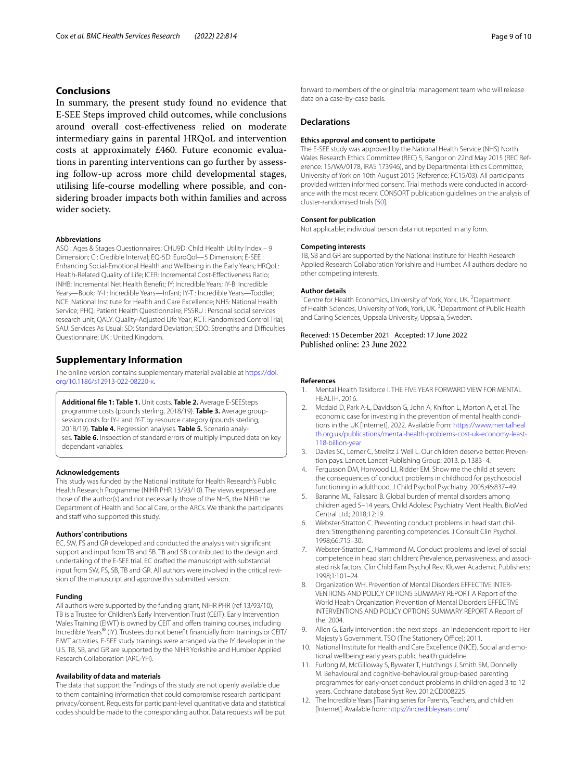# **Conclusions**

In summary, the present study found no evidence that E-SEE Steps improved child outcomes, while conclusions around overall cost-efectiveness relied on moderate intermediary gains in parental HRQoL and intervention costs at approximately £460. Future economic evaluations in parenting interventions can go further by assessing follow-up across more child developmental stages, utilising life-course modelling where possible, and considering broader impacts both within families and across wider society.

#### **Abbreviations**

ASQ : Ages & Stages Questionnaires; CHU9D: Child Health Utility Index – 9 Dimension; CI: Credible Interval; EQ-5D: EuroQol—5 Dimension; E-SEE : Enhancing Social-Emotional Health and Wellbeing in the Early Years; HRQoL: Health-Related Quality of Life; ICER: Incremental Cost-Efectiveness Ratio; INHB: Incremental Net Health Beneft; IY: Incredible Years; IY-B: Incredible Years—Book; IY-I : Incredible Years—Infant; IY-T : Incredible Years—Toddler; NCE: National Institute for Health and Care Excellence; NHS: National Health Service; PHQ: Patient Health Questionnaire; PSSRU : Personal social services research unit; QALY: Quality-Adjusted Life Year; RCT: Randomised Control Trial; SAU: Services As Usual; SD: Standard Deviation; SDQ: Strengths and Difficulties Questionnaire; UK : United Kingdom.

# **Supplementary Information**

The online version contains supplementary material available at [https://doi.](https://doi.org/10.1186/s12913-022-08220-x) [org/10.1186/s12913-022-08220-x.](https://doi.org/10.1186/s12913-022-08220-x)

<span id="page-8-11"></span>**Additional fle 1: Table 1.** Unit costs. **Table 2.** Average E-SEESteps programme costs (pounds sterling, 2018/19). **Table 3.** Average groupsession costs for IY-I and IY-T by resource category (pounds sterling, 2018/19). **Table 4.** Regression analyses. **Table 5.** Scenario analyses. **Table 6.** Inspection of standard errors of multiply imputed data on key dependant variables.

#### **Acknowledgements**

This study was funded by the National Institute for Health Research's Public Health Research Programme (NIHR PHR 13/93/10). The views expressed are those of the author(s) and not necessarily those of the NHS, the NIHR the Department of Health and Social Care, or the ARCs. We thank the participants and staff who supported this study.

#### **Authors' contributions**

EC, SW, FS and GR developed and conducted the analysis with signifcant support and input from TB and SB. TB and SB contributed to the design and undertaking of the E-SEE trial. EC drafted the manuscript with substantial input from SW, FS, SB, TB and GR. All authors were involved in the critical revision of the manuscript and approve this submitted version.

#### **Funding**

All authors were supported by the funding grant, NIHR PHR (ref 13/93/10); TB is a Trustee for Children's Early Intervention Trust (CEIT). Early Intervention Wales Training (EIWT) is owned by CEIT and offers training courses, including Incredible Years® (IY). Trustees do not beneft fnancially from trainings or CEIT/ EIWT activities. E-SEE study trainings were arranged via the IY developer in the U.S. TB, SB, and GR are supported by the NIHR Yorkshire and Humber Applied Research Collaboration (ARC-YH).

#### **Availability of data and materials**

The data that support the fndings of this study are not openly available due to them containing information that could compromise research participant privacy/consent. Requests for participant-level quantitative data and statistical codes should be made to the corresponding author. Data requests will be put

forward to members of the original trial management team who will release data on a case-by-case basis.

#### **Declarations**

#### **Ethics approval and consent to participate**

The E-SEE study was approved by the National Health Service (NHS) North Wales Research Ethics Committee (REC) 5, Bangor on 22nd May 2015 (REC Reference: 15/WA/0178, IRAS 173946), and by Departmental Ethics Committee, University of York on 10th August 2015 (Reference: FC15/03). All participants provided written informed consent. Trial methods were conducted in accordance with the most recent CONSORT publication guidelines on the analysis of cluster-randomised trials [[50](#page-9-35)].

#### **Consent for publication**

Not applicable; individual person data not reported in any form.

#### **Competing interests**

TB, SB and GR are supported by the National Institute for Health Research Applied Research Collaboration Yorkshire and Humber. All authors declare no other competing interests.

#### **Author details**

<sup>1</sup> Centre for Health Economics, University of York, York, UK.<sup>2</sup> Department of Health Sciences, University of York, York, UK.<sup>3</sup> Department of Public Health and Caring Sciences, Uppsala University, Uppsala, Sweden.

# Received: 15 December 2021 Accepted: 17 June 2022

#### **References**

- <span id="page-8-0"></span>1. Mental Health Taskforce I. THE FIVE YEAR FORWARD VIEW FOR MENTAL HEALTH. 2016.
- 2. Mcdaid D, Park A-L, Davidson G, John A, Knifton L, Morton A, et al. The economic case for investing in the prevention of mental health conditions in the UK [Internet]. 2022. Available from: [https://www.mentalheal](https://www.mentalhealth.org.uk/publications/mental-health-problems-cost-uk-economy-least-118-billion-year) [th.org.uk/publications/mental-health-problems-cost-uk-economy-least-](https://www.mentalhealth.org.uk/publications/mental-health-problems-cost-uk-economy-least-118-billion-year)[118-billion-year](https://www.mentalhealth.org.uk/publications/mental-health-problems-cost-uk-economy-least-118-billion-year)
- <span id="page-8-1"></span>3. Davies SC, Lemer C, Strelitz J. Weil L. Our children deserve better: Prevention pays. Lancet. Lancet Publishing Group; 2013. p. 1383–4.
- <span id="page-8-2"></span>4. Fergusson DM, Horwood LJ, Ridder EM. Show me the child at seven: the consequences of conduct problems in childhood for psychosocial functioning in adulthood. J Child Psychol Psychiatry. 2005;46:837–49.
- <span id="page-8-3"></span>5. Baranne ML, Falissard B. Global burden of mental disorders among children aged 5–14 years. Child Adolesc Psychiatry Ment Health. BioMed Central Ltd.; 2018;12:19.
- <span id="page-8-4"></span>6. Webster-Stratton C. Preventing conduct problems in head start children: Strengthening parenting competencies. J Consult Clin Psychol. 1998;66:715–30.
- <span id="page-8-5"></span>7. Webster-Stratton C, Hammond M. Conduct problems and level of social competence in head start children: Prevalence, pervasiveness, and associated risk factors. Clin Child Fam Psychol Rev. Kluwer Academic Publishers; 1998;1:101–24.
- <span id="page-8-6"></span>8. Organization WH. Prevention of Mental Disorders EFFECTIVE INTER-VENTIONS AND POLICY OPTIONS SUMMARY REPORT A Report of the World Health Organization Prevention of Mental Disorders EFFECTIVE INTERVENTIONS AND POLICY OPTIONS SUMMARY REPORT A Report of the. 2004.
- <span id="page-8-7"></span>9. Allen G. Early intervention : the next steps : an independent report to Her Majesty's Government. TSO (The Stationery Office); 2011.
- <span id="page-8-8"></span>10. National Institute for Health and Care Excellence (NICE). Social and emotional wellbeing: early years public health guideline.
- <span id="page-8-9"></span>11. Furlong M, McGilloway S, Bywater T, Hutchings J, Smith SM, Donnelly M. Behavioural and cognitive-behavioural group-based parenting programmes for early-onset conduct problems in children aged 3 to 12 years. Cochrane database Syst Rev. 2012;CD008225.
- <span id="page-8-10"></span>12. The Incredible Years | Training series for Parents, Teachers, and children [Internet]. Available from:<https://incredibleyears.com/>